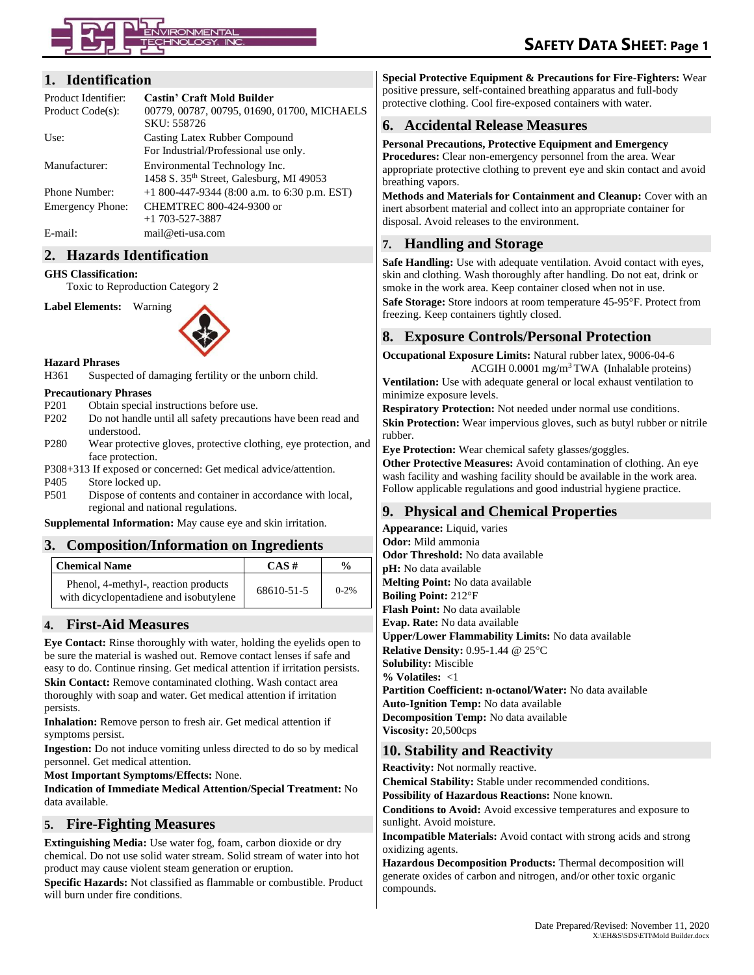#### **1. Identification**

| Product Identifier:     | <b>Castin' Craft Mold Builder</b>             |
|-------------------------|-----------------------------------------------|
| Product Code(s):        | 00779, 00787, 00795, 01690, 01700, MICHAELS   |
|                         | SKU: 558726                                   |
| Use:                    | Casting Latex Rubber Compound                 |
|                         | For Industrial/Professional use only.         |
| Manufacturer:           | Environmental Technology Inc.                 |
|                         | 1458 S. 35th Street, Galesburg, MI 49053      |
| Phone Number:           | $+1800-447-9344$ (8:00 a.m. to 6:30 p.m. EST) |
| <b>Emergency Phone:</b> | CHEMTREC 800-424-9300 or                      |
|                         | $+1$ 703-527-3887                             |
| E-mail:                 | mail@eti-usa.com                              |

#### **2. Hazards Identification**

#### **GHS Classification:**

Toxic to Reproduction Category 2

**Label Elements:** Warning



**Hazard Phrases**

H361 Suspected of damaging fertility or the unborn child.

#### **Precautionary Phrases**

- P201 Obtain special instructions before use.
- P202 Do not handle until all safety precautions have been read and understood.
- P280 Wear protective gloves, protective clothing, eye protection, and face protection.
- P308+313 If exposed or concerned: Get medical advice/attention.
- P405 Store locked up.
- P501 Dispose of contents and container in accordance with local, regional and national regulations.

**Supplemental Information:** May cause eye and skin irritation.

# **3. Composition/Information on Ingredients**

| <b>Chemical Name</b>                                                           | $CAS \#$   | $\frac{6}{9}$ |
|--------------------------------------------------------------------------------|------------|---------------|
| Phenol, 4-methyl-, reaction products<br>with dicyclopentadiene and isobutylene | 68610-51-5 | $0 - 2%$      |

#### **4. First-Aid Measures**

**Eye Contact:** Rinse thoroughly with water, holding the eyelids open to be sure the material is washed out. Remove contact lenses if safe and easy to do. Continue rinsing. Get medical attention if irritation persists. **Skin Contact:** Remove contaminated clothing. Wash contact area thoroughly with soap and water. Get medical attention if irritation persists.

**Inhalation:** Remove person to fresh air. Get medical attention if symptoms persist.

**Ingestion:** Do not induce vomiting unless directed to do so by medical personnel. Get medical attention.

**Most Important Symptoms/Effects:** None.

**Indication of Immediate Medical Attention/Special Treatment:** No data available.

#### **5. Fire-Fighting Measures**

**Extinguishing Media:** Use water fog, foam, carbon dioxide or dry chemical. Do not use solid water stream. Solid stream of water into hot product may cause violent steam generation or eruption.

**Specific Hazards:** Not classified as flammable or combustible. Product will burn under fire conditions.

**Special Protective Equipment & Precautions for Fire-Fighters:** Wear positive pressure, self-contained breathing apparatus and full-body protective clothing. Cool fire-exposed containers with water.

# **6. Accidental Release Measures**

**Personal Precautions, Protective Equipment and Emergency Procedures:** Clear non-emergency personnel from the area. Wear appropriate protective clothing to prevent eye and skin contact and avoid breathing vapors.

**Methods and Materials for Containment and Cleanup:** Cover with an inert absorbent material and collect into an appropriate container for disposal. Avoid releases to the environment.

# **7. Handling and Storage**

**Safe Handling:** Use with adequate ventilation. Avoid contact with eyes, skin and clothing. Wash thoroughly after handling. Do not eat, drink or smoke in the work area. Keep container closed when not in use. **Safe Storage:** Store indoors at room temperature 45-95°F. Protect from freezing. Keep containers tightly closed.

# **8. Exposure Controls/Personal Protection**

**Occupational Exposure Limits:** Natural rubber latex, 9006-04-6 ACGIH 0.0001 mg/m<sup>3</sup> TWA (Inhalable proteins)

**Ventilation:** Use with adequate general or local exhaust ventilation to minimize exposure levels.

**Respiratory Protection:** Not needed under normal use conditions. **Skin Protection:** Wear impervious gloves, such as butyl rubber or nitrile rubber.

**Eye Protection:** Wear chemical safety glasses/goggles.

**Other Protective Measures:** Avoid contamination of clothing. An eye wash facility and washing facility should be available in the work area. Follow applicable regulations and good industrial hygiene practice.

# **9. Physical and Chemical Properties**

**Appearance:** Liquid, varies **Odor:** Mild ammonia **Odor Threshold:** No data available **pH:** No data available **Melting Point:** No data available **Boiling Point:** 212F **Flash Point:** No data available **Evap. Rate:** No data available **Upper/Lower Flammability Limits:** No data available **Relative Density:** 0.95-1.44 @ 25°C **Solubility:** Miscible **% Volatiles:** <1 **Partition Coefficient: n-octanol/Water:** No data available **Auto-Ignition Temp:** No data available **Decomposition Temp:** No data available **Viscosity:** 20,500cps

# **10. Stability and Reactivity**

**Reactivity:** Not normally reactive.

**Chemical Stability:** Stable under recommended conditions.

**Possibility of Hazardous Reactions:** None known.

**Conditions to Avoid:** Avoid excessive temperatures and exposure to sunlight. Avoid moisture.

**Incompatible Materials:** Avoid contact with strong acids and strong oxidizing agents.

**Hazardous Decomposition Products:** Thermal decomposition will generate oxides of carbon and nitrogen, and/or other toxic organic compounds.